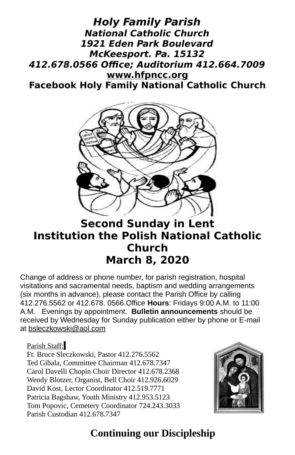#### **Holy Family Parish National Catholic Church 1921 Eden Park Boulevard McKeesport. Pa. 15132 412.678.0566 Office; Auditorium 412.664.7009 [www.hfpncc.org](http://www.hfpncc.org/) Facebook Holy Family National Catholic Church**



# **Second Sunday in Lent Institution the Polish National Catholic Church March 8, 2020**

Change of address or phone number, for parish registration, hospital visitations and sacramental needs, baptism and wedding arrangements (six months in advance), please contact the Parish Office by calling 412.276.5562 or 412.678. 0566.Office **Hours**: Fridays 9:00 A.M. to 11:00 A.M. Evenings by appointment. **Bulletin announcements** should be received by Wednesday for Sunday publication either by phone or E-mail at [bsleczkowski@aol.com](mailto:bsleczkowski@aol.com)

Parish Staff:

Fr. Bruce Sleczkowski, Pastor 412.276.5562 Ted Gibala, Committee Chairman 412.678.7347 Carol Davelli Chopin Choir Director 412.678.2368 Wendy Blotzer, Organist, Bell Choir 412.926.6029 David Kost, Lector Coordinator 412.519.7771 Patricia Bagshaw, Youth Ministry 412.953.5123 Tom Popovic, Cemetery Coordinator 724.243.3033 Parish Custodian 412.678.7347



# **Continuing our Discipleship**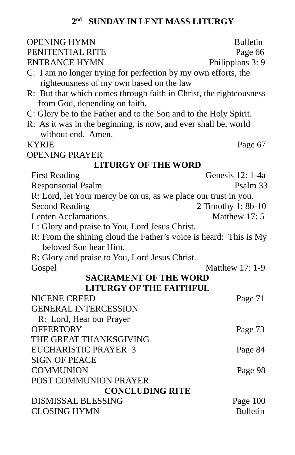#### **2 nd SUNDAY IN LENT MASS LITURGY**

| <b>OPENING HYMN</b>                                                | <b>Bulletin</b>             |
|--------------------------------------------------------------------|-----------------------------|
| PENITENTIAL RITE                                                   | Page 66                     |
| <b>ENTRANCE HYMN</b>                                               | Philippians 3: 9            |
| C: I am no longer trying for perfection by my own efforts, the     |                             |
| righteousness of my own based on the law                           |                             |
| R: But that which comes through faith in Christ, the righteousness |                             |
| from God, depending on faith.                                      |                             |
| C: Glory be to the Father and to the Son and to the Holy Spirit.   |                             |
| R: As it was in the beginning, is now, and ever shall be, world    |                             |
| without end. Amen.                                                 |                             |
| <b>KYRIE</b>                                                       | Page 67                     |
| <b>OPENING PRAYER</b>                                              |                             |
| <b>LITURGY OF THE WORD</b>                                         |                             |
| <b>First Reading</b>                                               | Genesis 12: 1-4a            |
| Responsorial Psalm                                                 | Psalm 33                    |
| R: Lord, let Your mercy be on us, as we place our trust in you.    |                             |
| <b>Second Reading</b>                                              | 2 Timothy 1: 8b-10          |
| <b>Lenten Acclamations.</b>                                        | Matthew 17:5                |
| L: Glory and praise to You, Lord Jesus Christ.                     |                             |
| R: From the shining cloud the Father's voice is heard: This is My  |                             |
| beloved Son hear Him.                                              |                             |
| R: Glory and praise to You, Lord Jesus Christ.                     |                             |
| Gospel                                                             | Matthew 17: 1-9             |
| <b>SACRAMENT OF THE WORD</b>                                       |                             |
| <b>LITURGY OF THE FAITHFUL</b>                                     |                             |
| <b>NICENE CREED</b>                                                | Page 71                     |
| <b>GENERAL INTERCESSION</b>                                        |                             |
| R: Lord, Hear our Prayer                                           |                             |
| <b>OFFERTORY</b>                                                   | Page 73                     |
| THE GREAT THANKSGIVING                                             |                             |
| <b>EUCHARISTIC PRAYER 3</b>                                        | Page 84                     |
| <b>SIGN OF PEACE</b>                                               |                             |
| <b>COMMUNION</b>                                                   | Page 98                     |
| POST COMMUNION PRAYER                                              |                             |
| <b>CONCLUDING RITE</b><br><b>DISMISSAL BLESSING</b>                |                             |
| <b>CLOSING HYMN</b>                                                | Page 100<br><b>Bulletin</b> |
|                                                                    |                             |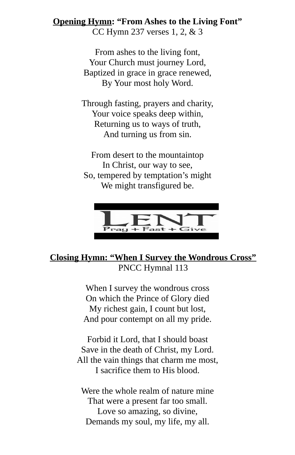**Opening Hymn: "From Ashes to the Living Font"** CC Hymn 237 verses 1, 2, & 3

> From ashes to the living font, Your Church must journey Lord, Baptized in grace in grace renewed, By Your most holy Word.

Through fasting, prayers and charity, Your voice speaks deep within, Returning us to ways of truth, And turning us from sin.

From desert to the mountaintop In Christ, our way to see, So, tempered by temptation's might We might transfigured be.



#### **Closing Hymn: "When I Survey the Wondrous Cross"** PNCC Hymnal 113

When I survey the wondrous cross On which the Prince of Glory died My richest gain, I count but lost, And pour contempt on all my pride.

Forbid it Lord, that I should boast Save in the death of Christ, my Lord. All the vain things that charm me most, I sacrifice them to His blood.

Were the whole realm of nature mine That were a present far too small. Love so amazing, so divine, Demands my soul, my life, my all.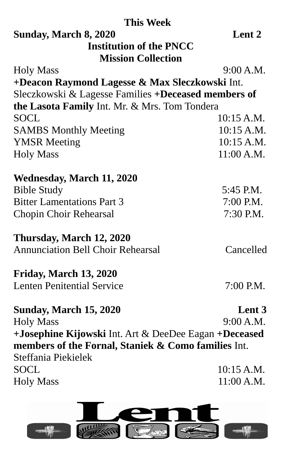| <b>This Week</b>                                      |            |
|-------------------------------------------------------|------------|
| Sunday, March 8, 2020                                 | Lent 2     |
| <b>Institution of the PNCC</b>                        |            |
| <b>Mission Collection</b>                             |            |
| <b>Holy Mass</b>                                      | 9:00 A.M.  |
| +Deacon Raymond Lagesse & Max Sleczkowski Int.        |            |
| Sleczkowski & Lagesse Families +Deceased members of   |            |
| the Lasota Family Int. Mr. & Mrs. Tom Tondera         |            |
| <b>SOCL</b>                                           | 10:15 A.M. |
| <b>SAMBS Monthly Meeting</b>                          | 10:15 A.M. |
| <b>YMSR Meeting</b>                                   | 10:15 A.M. |
| <b>Holy Mass</b>                                      | 11:00 A.M. |
| <b>Wednesday, March 11, 2020</b>                      |            |
| <b>Bible Study</b>                                    | 5:45 P.M.  |
| <b>Bitter Lamentations Part 3</b>                     | 7:00 P.M.  |
| Chopin Choir Rehearsal                                | 7:30 P.M.  |
| Thursday, March 12, 2020                              |            |
| <b>Annunciation Bell Choir Rehearsal</b>              | Cancelled  |
| Friday, March 13, 2020                                |            |
| <b>Lenten Penitential Service</b>                     | 7:00 P.M.  |
| <b>Sunday, March 15, 2020</b>                         | Lent 3     |
| <b>Holy Mass</b>                                      | 9:00 A.M.  |
| +Josephine Kijowski Int. Art & DeeDee Eagan +Deceased |            |
| members of the Fornal, Staniek & Como families Int.   |            |
| Steffania Piekielek                                   |            |
| <b>SOCL</b>                                           | 10:15 A.M. |
| <b>Holy Mass</b>                                      | 11:00 A.M. |
|                                                       |            |



 $\begin{picture}(20,10) \put(0,0){\line(1,0){10}} \put(15,0){\line(1,0){10}} \put(15,0){\line(1,0){10}} \put(15,0){\line(1,0){10}} \put(15,0){\line(1,0){10}} \put(15,0){\line(1,0){10}} \put(15,0){\line(1,0){10}} \put(15,0){\line(1,0){10}} \put(15,0){\line(1,0){10}} \put(15,0){\line(1,0){10}} \put(15,0){\line(1,0){10}} \put(15,0){\line(1$ 

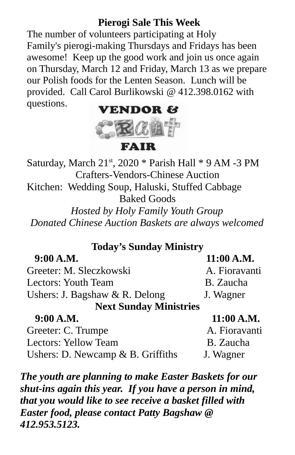## **Pierogi Sale This Week**

The number of volunteers participating at Holy Family's pierogi-making Thursdays and Fridays has been awesome! Keep up the good work and join us once again on Thursday, March 12 and Friday, March 13 as we prepare our Polish foods for the Lenten Season. Lunch will be provided. Call Carol Burlikowski @ 412.398.0162 with questions.



**FAIR** 

Saturday, March  $21<sup>st</sup>$ , 2020 \* Parish Hall \* 9 AM -3 PM Crafters-Vendors-Chinese Auction Kitchen: Wedding Soup, Haluski, Stuffed Cabbage Baked Goods *Hosted by Holy Family Youth Group Donated Chinese Auction Baskets are always welcomed*

### **Today's Sunday Ministry**

| 9:00 A.M.                         | 11:00 A.M.    |
|-----------------------------------|---------------|
| Greeter: M. Sleczkowski           | A. Fioravanti |
| <b>Lectors: Youth Team</b>        | B. Zaucha     |
| Ushers: J. Bagshaw & R. Delong    | J. Wagner     |
| <b>Next Sunday Ministries</b>     |               |
| 9:00 A.M.                         | 11:00 A.M.    |
| Greeter: C. Trumpe                | A. Fioravanti |
| <b>Lectors: Yellow Team</b>       | B. Zaucha     |
| Ushers: D. Newcamp & B. Griffiths | J. Wagner     |

*The youth are planning to make Easter Baskets for our shut-ins again this year. If you have a person in mind, that you would like to see receive a basket filled with Easter food, please contact Patty Bagshaw @ 412.953.5123.*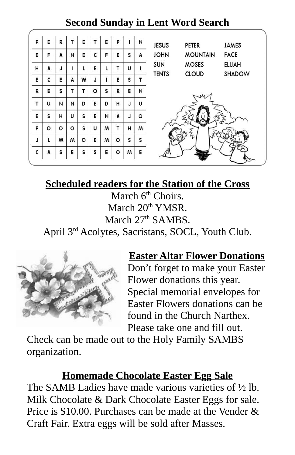## **Second Sunday in Lent Word Search**

| P | E       | R       |   | E       |         | E | P       |   | И | <b>JESUS</b> | <b>PETER</b>    | <b>JAMES</b>  |
|---|---------|---------|---|---------|---------|---|---------|---|---|--------------|-----------------|---------------|
| E | F       | A       | И | E       | c       | F | E       | S | A | <b>JOHN</b>  | <b>MOUNTAIN</b> | <b>FACE</b>   |
| Н | A       | J       |   |         | E       | L |         | U |   | SUN          | <b>MOSES</b>    | <b>ELIJAH</b> |
| E | c       | E       | A | W       | L       |   | E       | s |   | <b>TENTS</b> | <b>CLOUD</b>    | SHADOW        |
| R | E       | S       | т | т       | $\circ$ | S | R       | E | И |              |                 |               |
| T | U       | N       | И | D       | E       | D | н       | J | U |              |                 |               |
| E | s       | Н       | U | S       | E       | N | A       | J | ٥ |              |                 |               |
| P | $\circ$ | $\circ$ | ٥ | S       | U       | W | т       | н | w |              | ξ               |               |
| J | L       | м       | W | $\circ$ | E       | W | $\circ$ | S | s |              |                 |               |
| c | A       | s       | E | s       | S       | E | $\circ$ | w | E |              |                 |               |

## **Scheduled readers for the Station of the Cross**

March 6<sup>th</sup> Choirs. March  $20<sup>th</sup> YMSR$ . March 27<sup>th</sup> SAMBS. April 3rd Acolytes, Sacristans, SOCL, Youth Club.



### **Easter Altar Flower Donations**

Don't forget to make your Easter Flower donations this year. Special memorial envelopes for Easter Flowers donations can be found in the Church Narthex. Please take one and fill out.

Check can be made out to the Holy Family SAMBS organization.

## **Homemade Chocolate Easter Egg Sale**

The SAMB Ladies have made various varieties of ½ lb. Milk Chocolate & Dark Chocolate Easter Eggs for sale. Price is \$10.00. Purchases can be made at the Vender & Craft Fair. Extra eggs will be sold after Masses.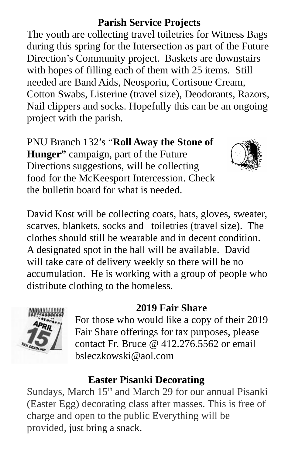## **Parish Service Projects**

The youth are collecting travel toiletries for Witness Bags during this spring for the Intersection as part of the Future Direction's Community project. Baskets are downstairs with hopes of filling each of them with 25 items. Still needed are Band Aids, Neosporin, Cortisone Cream, Cotton Swabs, Listerine (travel size), Deodorants, Razors, Nail clippers and socks. Hopefully this can be an ongoing project with the parish.

PNU Branch 132's "**Roll Away the Stone of Hunger"** campaign, part of the Future Directions suggestions, will be collecting food for the McKeesport Intercession. Check the bulletin board for what is needed.



David Kost will be collecting coats, hats, gloves, sweater, scarves, blankets, socks and toiletries (travel size). The clothes should still be wearable and in decent condition. A designated spot in the hall will be available. David will take care of delivery weekly so there will be no accumulation. He is working with a group of people who distribute clothing to the homeless.

#### **2019 Fair Share**



For those who would like a copy of their 2019 Fair Share offerings for tax purposes, please contact Fr. Bruce  $\omega$  412.276.5562 or email bsleczkowski@aol.com

### **Easter Pisanki Decorating**

Sundays, March 15<sup>th</sup> and March 29 for our annual Pisanki (Easter Egg) decorating class after masses. This is free of charge and open to the public Everything will be provided, just bring a snack.